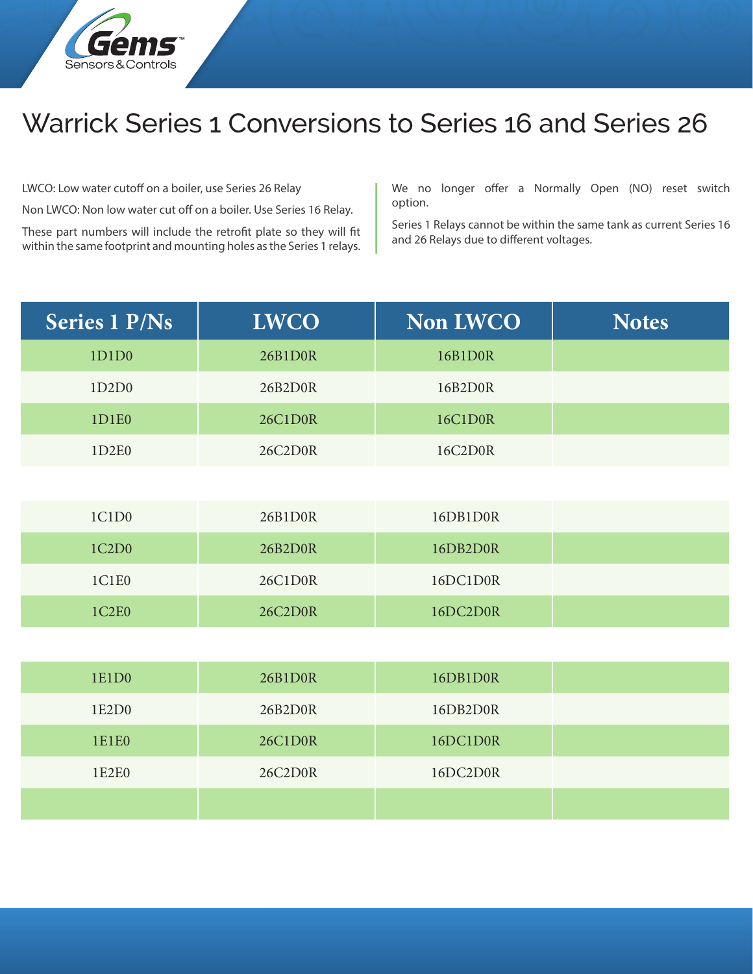

## Warrick Series 1 Conversions to Series 16 and Series 26

LWCO: Low water cutoff on a boiler, use Series 26 Relay

Non LWCO: Non low water cut off on a boiler. Use Series 16 Relay.

These part numbers will include the retrofit plate so they will fit within the same footprint and mounting holes as the Series 1 relays.

We no longer offer a Normally Open (NO) reset switch option.

Series 1 Relays cannot be within the same tank as current Series 16 and 26 Relays due to different voltages.

| <b>Series 1 P/Ns</b>           | <b>LWCO</b> | <b>Non LWCO</b> | <b>Notes</b> |
|--------------------------------|-------------|-----------------|--------------|
| 1D1D0                          | 26B1D0R     | 16B1D0R         |              |
| 1D2D0                          | 26B2D0R     | 16B2D0R         |              |
| 1D1E0                          | 26C1D0R     | <b>16C1D0R</b>  |              |
| 1D2E0                          | 26C2D0R     | 16C2D0R         |              |
|                                |             |                 |              |
| 1C1D0                          | 26B1D0R     | 16DB1D0R        |              |
| 1C2D0                          | 26B2D0R     | 16DB2D0R        |              |
| 1C1E0                          | 26C1D0R     | 16DC1D0R        |              |
| 1C <sub>2</sub> E <sub>0</sub> | 26C2D0R     | 16DC2D0R        |              |
|                                |             |                 |              |
| 1E1D0                          | 26B1D0R     | 16DB1D0R        |              |
| 1E2D0                          | 26B2D0R     | 16DB2D0R        |              |
| 1E1E0                          | 26C1D0R     | 16DC1D0R        |              |
| 1E2E0                          | 26C2D0R     | 16DC2D0R        |              |
|                                |             |                 |              |